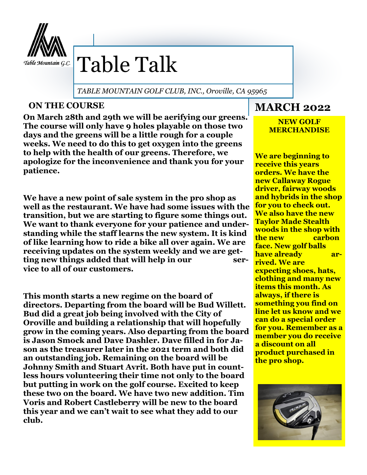

# Table Talk

*TABLE MOUNTAIN GOLF CLUB, INC., Oroville, CA 95965*

#### **ON THE COURSE**

**On March 28th and 29th we will be aerifying our greens. The course will only have 9 holes playable on those two days and the greens will be a little rough for a couple weeks. We need to do this to get oxygen into the greens to help with the health of our greens. Therefore, we apologize for the inconvenience and thank you for your patience.**

**We have a new point of sale system in the pro shop as well as the restaurant. We have had some issues with the transition, but we are starting to figure some things out. We want to thank everyone for your patience and understanding while the staff learns the new system. It is kind of like learning how to ride a bike all over again. We are receiving updates on the system weekly and we are getting new things added that will help in our service to all of our customers.** 

**This month starts a new regime on the board of directors. Departing from the board will be Bud Willett. Bud did a great job being involved with the City of Oroville and building a relationship that will hopefully grow in the coming years. Also departing from the board is Jason Smock and Dave Dashler. Dave filled in for Jason as the treasurer later in the 2021 term and both did an outstanding job. Remaining on the board will be Johnny Smith and Stuart Avrit. Both have put in countless hours volunteering their time not only to the board but putting in work on the golf course. Excited to keep these two on the board. We have two new addition. Tim Voris and Robert Castleberry will be new to the board this year and we can't wait to see what they add to our club.**

# **MARCH 2022**

#### **NEW GOLF MERCHANDISE**

**We are beginning to receive this years orders. We have the new Callaway Rogue driver, fairway woods and hybrids in the shop for you to check out. We also have the new Taylor Made Stealth woods in the shop with the new carbon face. New golf balls have already arrived. We are expecting shoes, hats, clothing and many new items this month. As always, if there is something you find on line let us know and we can do a special order for you. Remember as a member you do receive a discount on all product purchased in the pro shop.**